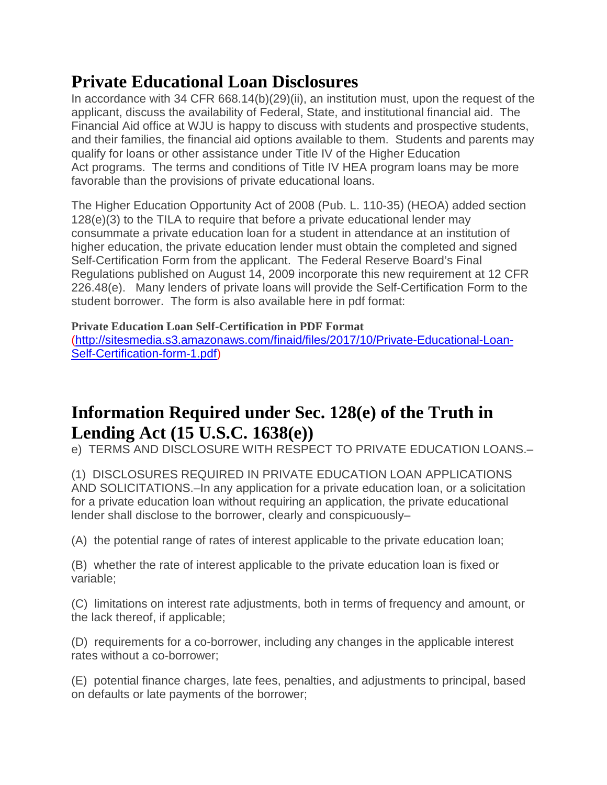## **Private Educational Loan Disclosures**

In accordance with 34 CFR 668.14(b)(29)(ii), an institution must, upon the request of the applicant, discuss the availability of Federal, State, and institutional financial aid. The Financial Aid office at WJU is happy to discuss with students and prospective students, and their families, the financial aid options available to them. Students and parents may qualify for loans or other assistance under Title IV of the Higher Education Act programs. The terms and conditions of Title IV HEA program loans may be more favorable than the provisions of private educational loans.

The Higher Education Opportunity Act of 2008 (Pub. L. 110-35) (HEOA) added section 128(e)(3) to the TILA to require that before a private educational lender may consummate a private education loan for a student in attendance at an institution of higher education, the private education lender must obtain the completed and signed Self-Certification Form from the applicant. The Federal Reserve Board's Final Regulations published on August 14, 2009 incorporate this new requirement at 12 CFR 226.48(e). Many lenders of private loans will provide the Self-Certification Form to the student borrower. The form is also available here in pdf format:

**Private Education Loan Self-Certification in PDF Format** (http://sitesmedia.s3.amazonaws.com/finaid/files/2017/10/Private-Educational-Loan-Self-Certification-form-1.pdf)

## **Information Required under Sec. 128(e) of the Truth in Lending Act (15 U.S.C. 1638(e))**

e) TERMS AND DISCLOSURE WITH RESPECT TO PRIVATE EDUCATION LOANS.–

(1) DISCLOSURES REQUIRED IN PRIVATE EDUCATION LOAN APPLICATIONS AND SOLICITATIONS.–In any application for a private education loan, or a solicitation for a private education loan without requiring an application, the private educational lender shall disclose to the borrower, clearly and conspicuously–

(A) the potential range of rates of interest applicable to the private education loan;

(B) whether the rate of interest applicable to the private education loan is fixed or variable;

(C) limitations on interest rate adjustments, both in terms of frequency and amount, or the lack thereof, if applicable;

(D) requirements for a co-borrower, including any changes in the applicable interest rates without a co-borrower;

(E) potential finance charges, late fees, penalties, and adjustments to principal, based on defaults or late payments of the borrower;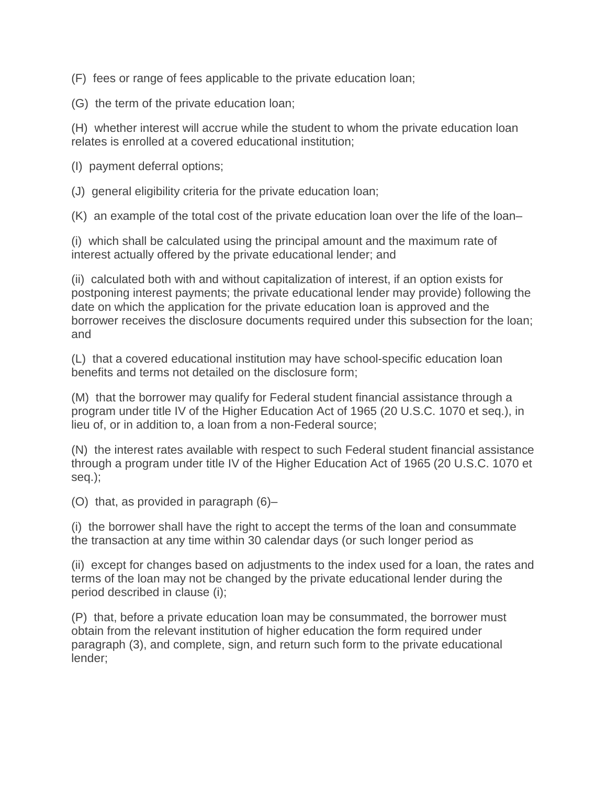(F) fees or range of fees applicable to the private education loan;

(G) the term of the private education loan;

(H) whether interest will accrue while the student to whom the private education loan relates is enrolled at a covered educational institution;

(I) payment deferral options;

(J) general eligibility criteria for the private education loan;

(K) an example of the total cost of the private education loan over the life of the loan–

(i) which shall be calculated using the principal amount and the maximum rate of interest actually offered by the private educational lender; and

(ii) calculated both with and without capitalization of interest, if an option exists for postponing interest payments; the private educational lender may provide) following the date on which the application for the private education loan is approved and the borrower receives the disclosure documents required under this subsection for the loan; and

(L) that a covered educational institution may have school-specific education loan benefits and terms not detailed on the disclosure form;

(M) that the borrower may qualify for Federal student financial assistance through a program under title IV of the Higher Education Act of 1965 (20 U.S.C. 1070 et seq.), in lieu of, or in addition to, a loan from a non-Federal source;

(N) the interest rates available with respect to such Federal student financial assistance through a program under title IV of the Higher Education Act of 1965 (20 U.S.C. 1070 et seq.);

(O) that, as provided in paragraph (6)–

(i) the borrower shall have the right to accept the terms of the loan and consummate the transaction at any time within 30 calendar days (or such longer period as

(ii) except for changes based on adjustments to the index used for a loan, the rates and terms of the loan may not be changed by the private educational lender during the period described in clause (i);

(P) that, before a private education loan may be consummated, the borrower must obtain from the relevant institution of higher education the form required under paragraph (3), and complete, sign, and return such form to the private educational lender;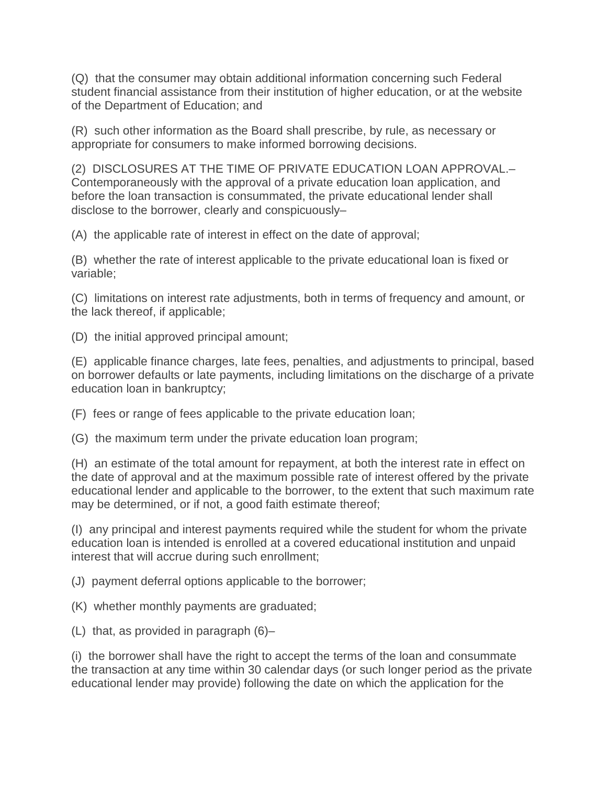(Q) that the consumer may obtain additional information concerning such Federal student financial assistance from their institution of higher education, or at the website of the Department of Education; and

(R) such other information as the Board shall prescribe, by rule, as necessary or appropriate for consumers to make informed borrowing decisions.

(2) DISCLOSURES AT THE TIME OF PRIVATE EDUCATION LOAN APPROVAL.– Contemporaneously with the approval of a private education loan application, and before the loan transaction is consummated, the private educational lender shall disclose to the borrower, clearly and conspicuously–

(A) the applicable rate of interest in effect on the date of approval;

(B) whether the rate of interest applicable to the private educational loan is fixed or variable;

(C) limitations on interest rate adjustments, both in terms of frequency and amount, or the lack thereof, if applicable;

(D) the initial approved principal amount;

(E) applicable finance charges, late fees, penalties, and adjustments to principal, based on borrower defaults or late payments, including limitations on the discharge of a private education loan in bankruptcy;

(F) fees or range of fees applicable to the private education loan;

(G) the maximum term under the private education loan program;

(H) an estimate of the total amount for repayment, at both the interest rate in effect on the date of approval and at the maximum possible rate of interest offered by the private educational lender and applicable to the borrower, to the extent that such maximum rate may be determined, or if not, a good faith estimate thereof;

(I) any principal and interest payments required while the student for whom the private education loan is intended is enrolled at a covered educational institution and unpaid interest that will accrue during such enrollment;

(J) payment deferral options applicable to the borrower;

- (K) whether monthly payments are graduated;
- (L) that, as provided in paragraph (6)–

(i) the borrower shall have the right to accept the terms of the loan and consummate the transaction at any time within 30 calendar days (or such longer period as the private educational lender may provide) following the date on which the application for the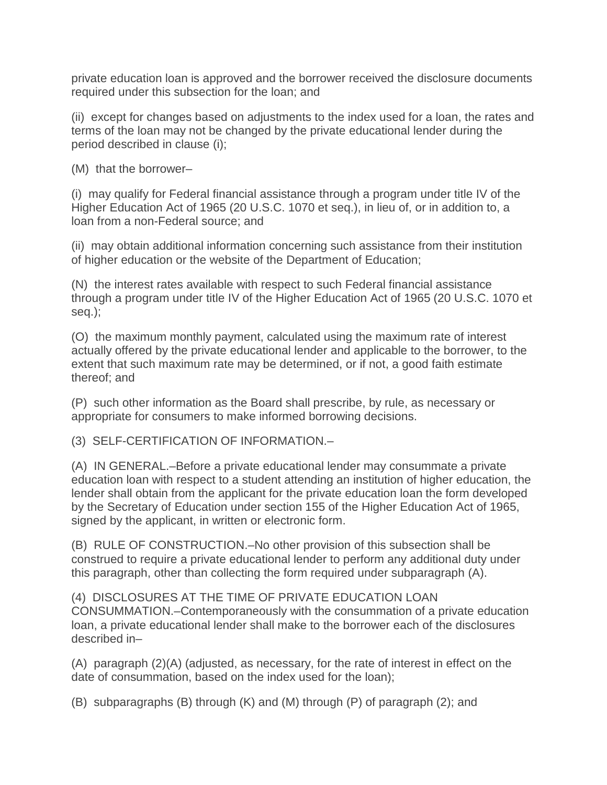private education loan is approved and the borrower received the disclosure documents required under this subsection for the loan; and

(ii) except for changes based on adjustments to the index used for a loan, the rates and terms of the loan may not be changed by the private educational lender during the period described in clause (i);

(M) that the borrower–

(i) may qualify for Federal financial assistance through a program under title IV of the Higher Education Act of 1965 (20 U.S.C. 1070 et seq.), in lieu of, or in addition to, a loan from a non-Federal source; and

(ii) may obtain additional information concerning such assistance from their institution of higher education or the website of the Department of Education;

(N) the interest rates available with respect to such Federal financial assistance through a program under title IV of the Higher Education Act of 1965 (20 U.S.C. 1070 et seq.);

(O) the maximum monthly payment, calculated using the maximum rate of interest actually offered by the private educational lender and applicable to the borrower, to the extent that such maximum rate may be determined, or if not, a good faith estimate thereof; and

(P) such other information as the Board shall prescribe, by rule, as necessary or appropriate for consumers to make informed borrowing decisions.

(3) SELF-CERTIFICATION OF INFORMATION.–

(A) IN GENERAL.–Before a private educational lender may consummate a private education loan with respect to a student attending an institution of higher education, the lender shall obtain from the applicant for the private education loan the form developed by the Secretary of Education under section 155 of the Higher Education Act of 1965, signed by the applicant, in written or electronic form.

(B) RULE OF CONSTRUCTION.–No other provision of this subsection shall be construed to require a private educational lender to perform any additional duty under this paragraph, other than collecting the form required under subparagraph (A).

(4) DISCLOSURES AT THE TIME OF PRIVATE EDUCATION LOAN CONSUMMATION.–Contemporaneously with the consummation of a private education loan, a private educational lender shall make to the borrower each of the disclosures described in–

(A) paragraph (2)(A) (adjusted, as necessary, for the rate of interest in effect on the date of consummation, based on the index used for the loan);

(B) subparagraphs (B) through (K) and (M) through (P) of paragraph (2); and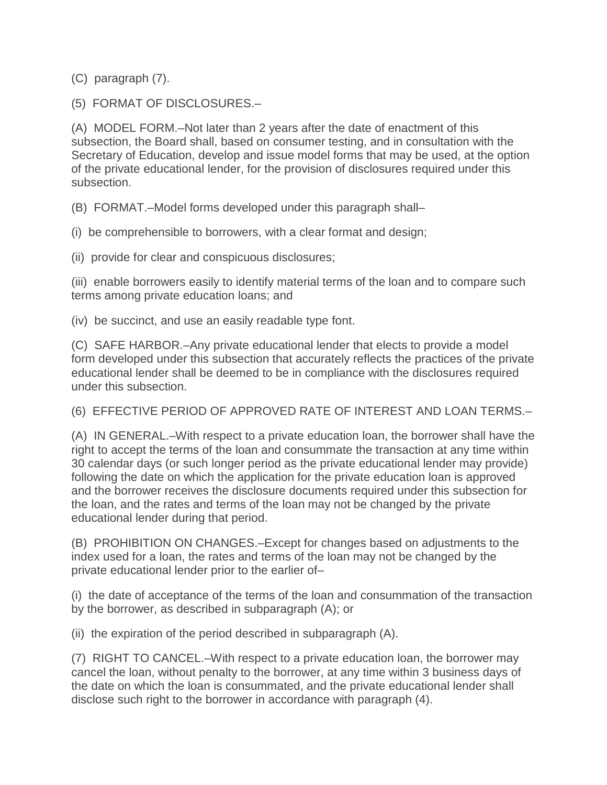(C) paragraph (7).

(5) FORMAT OF DISCLOSURES.–

(A) MODEL FORM.–Not later than 2 years after the date of enactment of this subsection, the Board shall, based on consumer testing, and in consultation with the Secretary of Education, develop and issue model forms that may be used, at the option of the private educational lender, for the provision of disclosures required under this subsection.

(B) FORMAT.–Model forms developed under this paragraph shall–

(i) be comprehensible to borrowers, with a clear format and design;

(ii) provide for clear and conspicuous disclosures;

(iii) enable borrowers easily to identify material terms of the loan and to compare such terms among private education loans; and

(iv) be succinct, and use an easily readable type font.

(C) SAFE HARBOR.–Any private educational lender that elects to provide a model form developed under this subsection that accurately reflects the practices of the private educational lender shall be deemed to be in compliance with the disclosures required under this subsection.

(6) EFFECTIVE PERIOD OF APPROVED RATE OF INTEREST AND LOAN TERMS.–

(A) IN GENERAL.–With respect to a private education loan, the borrower shall have the right to accept the terms of the loan and consummate the transaction at any time within 30 calendar days (or such longer period as the private educational lender may provide) following the date on which the application for the private education loan is approved and the borrower receives the disclosure documents required under this subsection for the loan, and the rates and terms of the loan may not be changed by the private educational lender during that period.

(B) PROHIBITION ON CHANGES.–Except for changes based on adjustments to the index used for a loan, the rates and terms of the loan may not be changed by the private educational lender prior to the earlier of–

(i) the date of acceptance of the terms of the loan and consummation of the transaction by the borrower, as described in subparagraph (A); or

(ii) the expiration of the period described in subparagraph (A).

(7) RIGHT TO CANCEL.–With respect to a private education loan, the borrower may cancel the loan, without penalty to the borrower, at any time within 3 business days of the date on which the loan is consummated, and the private educational lender shall disclose such right to the borrower in accordance with paragraph (4).